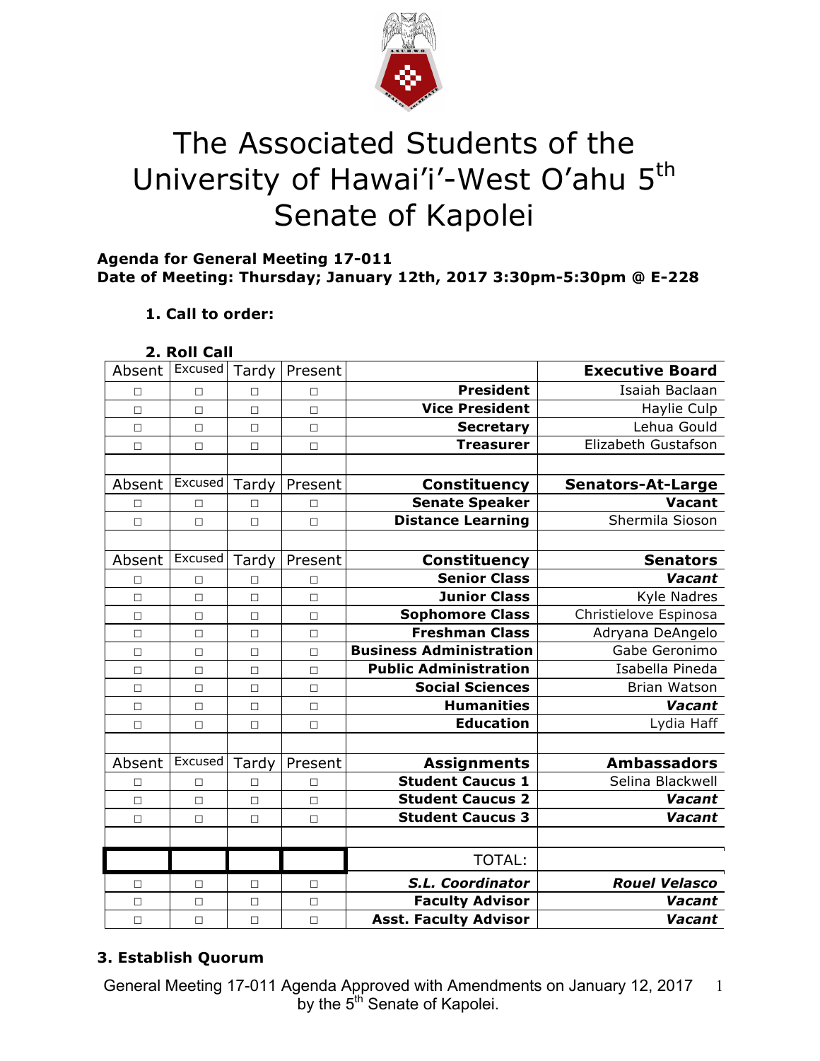

# The Associated Students of the University of Hawai'i'-West O'ahu 5<sup>th</sup> Senate of Kapolei

# **Agenda for General Meeting 17-011 Date of Meeting: Thursday; January 12th, 2017 3:30pm-5:30pm @ E-228**

# **1. Call to order:**

# **2. Roll Call**

| Absent | Excused | Tardy  | Present |                                | <b>Executive Board</b>   |
|--------|---------|--------|---------|--------------------------------|--------------------------|
| П      | $\Box$  | П      | П       | <b>President</b>               | Isaiah Baclaan           |
| $\Box$ | $\Box$  | $\Box$ | $\Box$  | <b>Vice President</b>          | Haylie Culp              |
| $\Box$ | $\Box$  | $\Box$ | $\Box$  | <b>Secretary</b>               | Lehua Gould              |
| П      | $\Box$  | $\Box$ | $\Box$  | <b>Treasurer</b>               | Elizabeth Gustafson      |
|        |         |        |         |                                |                          |
| Absent | Excused | Tardy  | Present | <b>Constituency</b>            | <b>Senators-At-Large</b> |
| □      | □       | □      | □       | <b>Senate Speaker</b>          | <b>Vacant</b>            |
| $\Box$ | $\Box$  | $\Box$ | $\Box$  | <b>Distance Learning</b>       | Shermila Sioson          |
|        |         |        |         |                                |                          |
| Absent | Excused | Tardy  | Present | <b>Constituency</b>            | <b>Senators</b>          |
| □      | $\Box$  | П      | П       | <b>Senior Class</b>            | Vacant                   |
| $\Box$ | $\Box$  | $\Box$ | $\Box$  | <b>Junior Class</b>            | <b>Kyle Nadres</b>       |
| $\Box$ | $\Box$  | $\Box$ | $\Box$  | <b>Sophomore Class</b>         | Christielove Espinosa    |
| $\Box$ | $\Box$  | $\Box$ | $\Box$  | <b>Freshman Class</b>          | Adryana DeAngelo         |
| $\Box$ | $\Box$  | $\Box$ | $\Box$  | <b>Business Administration</b> | Gabe Geronimo            |
| $\Box$ | $\Box$  | $\Box$ | $\Box$  | <b>Public Administration</b>   | Isabella Pineda          |
| $\Box$ | $\Box$  | $\Box$ | $\Box$  | <b>Social Sciences</b>         | Brian Watson             |
| $\Box$ | $\Box$  | $\Box$ | $\Box$  | <b>Humanities</b>              | Vacant                   |
| $\Box$ | $\Box$  | $\Box$ | $\Box$  | <b>Education</b>               | Lydia Haff               |
|        |         |        |         |                                |                          |
| Absent | Excused | Tardy  | Present | <b>Assignments</b>             | <b>Ambassadors</b>       |
| □      | $\Box$  | □      | $\Box$  | <b>Student Caucus 1</b>        | Selina Blackwell         |
| $\Box$ | $\Box$  | $\Box$ | $\Box$  | <b>Student Caucus 2</b>        | Vacant                   |
| $\Box$ | $\Box$  | $\Box$ | $\Box$  | <b>Student Caucus 3</b>        | Vacant                   |
|        |         |        |         |                                |                          |
|        |         |        |         | <b>TOTAL:</b>                  |                          |
| П      | $\Box$  | □      | П       | S.L. Coordinator               | <b>Rouel Velasco</b>     |
| $\Box$ | $\Box$  | $\Box$ | $\Box$  | <b>Faculty Advisor</b>         | Vacant                   |
| $\Box$ | $\Box$  | $\Box$ | $\Box$  | <b>Asst. Faculty Advisor</b>   | Vacant                   |

# **3. Establish Quorum**

General Meeting 17-011 Agenda Approved with Amendments on January 12, 2017 by the 5<sup>th</sup> Senate of Kapolei. 1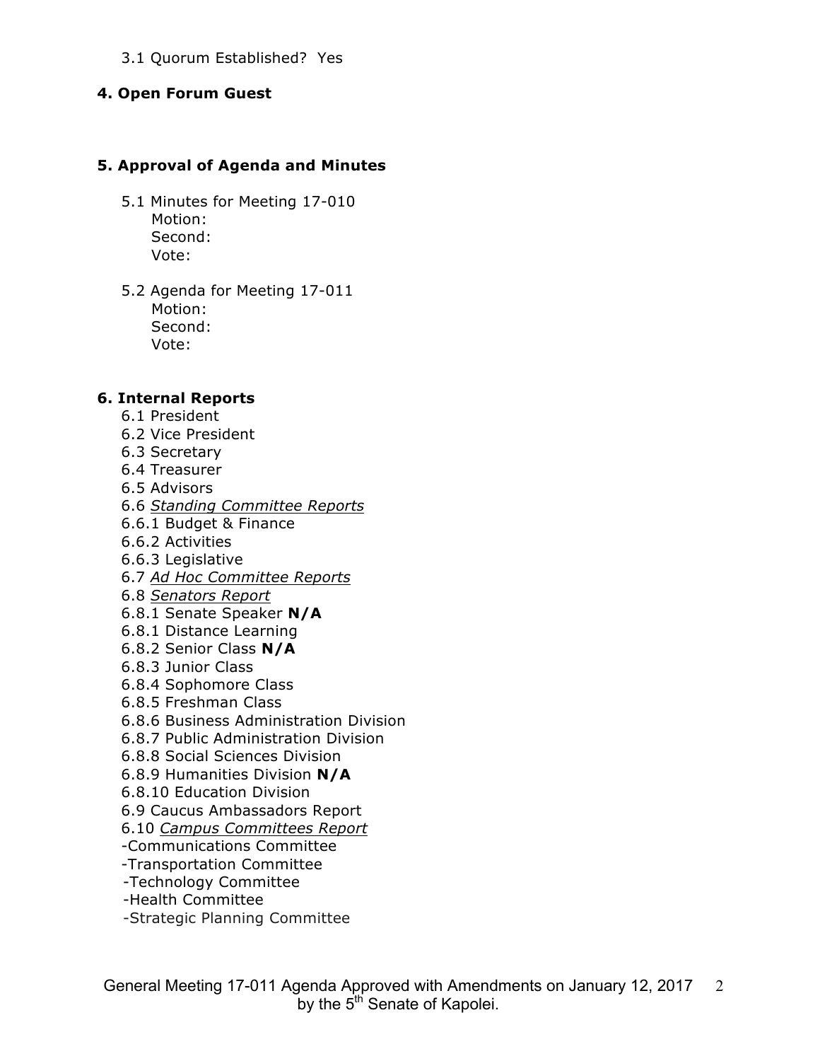### 3.1 Quorum Established? Yes

#### **4. Open Forum Guest**

#### **5. Approval of Agenda and Minutes**

- 5.1 Minutes for Meeting 17-010 Motion: Second: Vote:
- 5.2 Agenda for Meeting 17-011 Motion: Second: Vote:

#### **6. Internal Reports**

- 6.1 President
- 6.2 Vice President
- 6.3 Secretary
- 6.4 Treasurer
- 6.5 Advisors
- 6.6 *Standing Committee Reports*
- 6.6.1 Budget & Finance
- 6.6.2 Activities
- 6.6.3 Legislative
- 6.7 *Ad Hoc Committee Reports*
- 6.8 *Senators Report*
- 6.8.1 Senate Speaker **N/A**
- 6.8.1 Distance Learning
- 6.8.2 Senior Class **N/A**
- 6.8.3 Junior Class
- 6.8.4 Sophomore Class
- 6.8.5 Freshman Class
- 6.8.6 Business Administration Division
- 6.8.7 Public Administration Division
- 6.8.8 Social Sciences Division
- 6.8.9 Humanities Division **N/A**
- 6.8.10 Education Division
- 6.9 Caucus Ambassadors Report
- 6.10 *Campus Committees Report*
- -Communications Committee
- -Transportation Committee
- -Technology Committee
- -Health Committee
- -Strategic Planning Committee